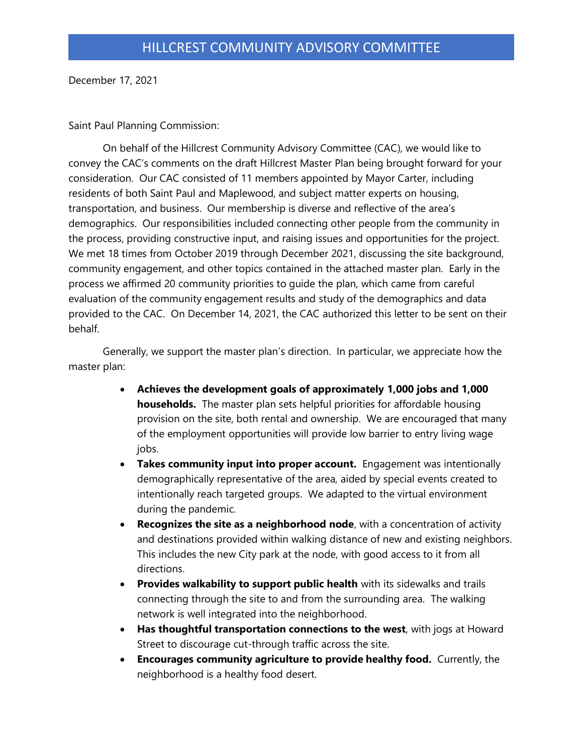December 17, 2021

Saint Paul Planning Commission:

On behalf of the Hillcrest Community Advisory Committee (CAC), we would like to convey the CAC's comments on the draft Hillcrest Master Plan being brought forward for your consideration. Our CAC consisted of 11 members appointed by Mayor Carter, including residents of both Saint Paul and Maplewood, and subject matter experts on housing, transportation, and business. Our membership is diverse and reflective of the area's demographics. Our responsibilities included connecting other people from the community in the process, providing constructive input, and raising issues and opportunities for the project. We met 18 times from October 2019 through December 2021, discussing the site background, community engagement, and other topics contained in the attached master plan. Early in the process we affirmed 20 community priorities to guide the plan, which came from careful evaluation of the community engagement results and study of the demographics and data provided to the CAC. On December 14, 2021, the CAC authorized this letter to be sent on their behalf.

Generally, we support the master plan's direction. In particular, we appreciate how the master plan:

- **Achieves the development goals of approximately 1,000 jobs and 1,000 households.** The master plan sets helpful priorities for affordable housing provision on the site, both rental and ownership. We are encouraged that many of the employment opportunities will provide low barrier to entry living wage jobs.
- **Takes community input into proper account.** Engagement was intentionally demographically representative of the area, aided by special events created to intentionally reach targeted groups. We adapted to the virtual environment during the pandemic.
- **Recognizes the site as a neighborhood node**, with a concentration of activity and destinations provided within walking distance of new and existing neighbors. This includes the new City park at the node, with good access to it from all directions.
- **Provides walkability to support public health** with its sidewalks and trails connecting through the site to and from the surrounding area. The walking network is well integrated into the neighborhood.
- **Has thoughtful transportation connections to the west**, with jogs at Howard Street to discourage cut-through traffic across the site.
- **Encourages community agriculture to provide healthy food.** Currently, the neighborhood is a healthy food desert.